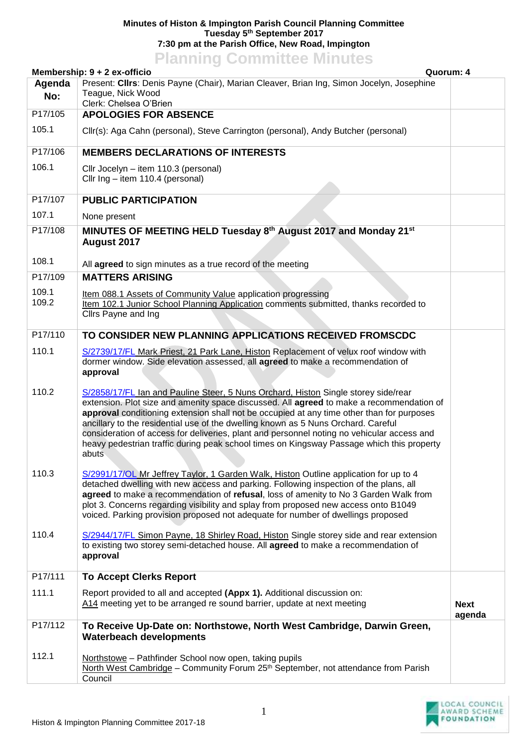## **Minutes of Histon & Impington Parish Council Planning Committee Tuesday 5th September 2017 7:30 pm at the Parish Office, New Road, Impington**

## **Planning Committee Minutes**

|                | Membership: 9 + 2 ex-officio<br>Quorum: 4                                                                                                                                                                                                                                                                                                                                                                                                                                                                                                                            |                       |  |
|----------------|----------------------------------------------------------------------------------------------------------------------------------------------------------------------------------------------------------------------------------------------------------------------------------------------------------------------------------------------------------------------------------------------------------------------------------------------------------------------------------------------------------------------------------------------------------------------|-----------------------|--|
| Agenda<br>No:  | Present: Cllrs: Denis Payne (Chair), Marian Cleaver, Brian Ing, Simon Jocelyn, Josephine<br>Teague, Nick Wood<br>Clerk: Chelsea O'Brien                                                                                                                                                                                                                                                                                                                                                                                                                              |                       |  |
| P17/105        | <b>APOLOGIES FOR ABSENCE</b>                                                                                                                                                                                                                                                                                                                                                                                                                                                                                                                                         |                       |  |
| 105.1          | Cllr(s): Aga Cahn (personal), Steve Carrington (personal), Andy Butcher (personal)                                                                                                                                                                                                                                                                                                                                                                                                                                                                                   |                       |  |
| P17/106        | <b>MEMBERS DECLARATIONS OF INTERESTS</b>                                                                                                                                                                                                                                                                                                                                                                                                                                                                                                                             |                       |  |
| 106.1          | Cllr Jocelyn - item 110.3 (personal)<br>Cllr Ing - item 110.4 (personal)                                                                                                                                                                                                                                                                                                                                                                                                                                                                                             |                       |  |
| P17/107        | <b>PUBLIC PARTICIPATION</b>                                                                                                                                                                                                                                                                                                                                                                                                                                                                                                                                          |                       |  |
| 107.1          | None present                                                                                                                                                                                                                                                                                                                                                                                                                                                                                                                                                         |                       |  |
| P17/108        | MINUTES OF MEETING HELD Tuesday 8th August 2017 and Monday 21st<br>August 2017                                                                                                                                                                                                                                                                                                                                                                                                                                                                                       |                       |  |
| 108.1          | All agreed to sign minutes as a true record of the meeting                                                                                                                                                                                                                                                                                                                                                                                                                                                                                                           |                       |  |
| P17/109        | <b>MATTERS ARISING</b>                                                                                                                                                                                                                                                                                                                                                                                                                                                                                                                                               |                       |  |
| 109.1<br>109.2 | Item 088.1 Assets of Community Value application progressing<br>Item 102.1 Junior School Planning Application comments submitted, thanks recorded to<br>Cllrs Payne and Ing                                                                                                                                                                                                                                                                                                                                                                                          |                       |  |
| P17/110        | TO CONSIDER NEW PLANNING APPLICATIONS RECEIVED FROMSCDC                                                                                                                                                                                                                                                                                                                                                                                                                                                                                                              |                       |  |
| 110.1          | S/2739/17/FL Mark Priest, 21 Park Lane, Histon Replacement of velux roof window with<br>dormer window. Side elevation assessed, all agreed to make a recommendation of<br>approval                                                                                                                                                                                                                                                                                                                                                                                   |                       |  |
| 110.2          | S/2858/17/FL lan and Pauline Steer, 5 Nuns Orchard, Histon Single storey side/rear<br>extension. Plot size and amenity space discussed. All agreed to make a recommendation of<br>approval conditioning extension shall not be occupied at any time other than for purposes<br>ancillary to the residential use of the dwelling known as 5 Nuns Orchard. Careful<br>consideration of access for deliveries, plant and personnel noting no vehicular access and<br>heavy pedestrian traffic during peak school times on Kingsway Passage which this property<br>abuts |                       |  |
| 110.3          | S/2991/17/OL Mr Jeffrey Taylor, 1 Garden Walk, Histon Outline application for up to 4<br>detached dwelling with new access and parking. Following inspection of the plans, all<br>agreed to make a recommendation of refusal, loss of amenity to No 3 Garden Walk from<br>plot 3. Concerns regarding visibility and splay from proposed new access onto B1049<br>voiced. Parking provision proposed not adequate for number of dwellings proposed                                                                                                                    |                       |  |
| 110.4          | S/2944/17/FL Simon Payne, 18 Shirley Road, Histon Single storey side and rear extension<br>to existing two storey semi-detached house. All agreed to make a recommendation of<br>approval                                                                                                                                                                                                                                                                                                                                                                            |                       |  |
| P17/111        | <b>To Accept Clerks Report</b>                                                                                                                                                                                                                                                                                                                                                                                                                                                                                                                                       |                       |  |
| 111.1          | Report provided to all and accepted (Appx 1). Additional discussion on:<br>A14 meeting yet to be arranged re sound barrier, update at next meeting                                                                                                                                                                                                                                                                                                                                                                                                                   | <b>Next</b><br>agenda |  |
| P17/112        | To Receive Up-Date on: Northstowe, North West Cambridge, Darwin Green,<br><b>Waterbeach developments</b>                                                                                                                                                                                                                                                                                                                                                                                                                                                             |                       |  |
| 112.1          | Northstowe - Pathfinder School now open, taking pupils<br>North West Cambridge – Community Forum 25 <sup>th</sup> September, not attendance from Parish<br>Council                                                                                                                                                                                                                                                                                                                                                                                                   |                       |  |